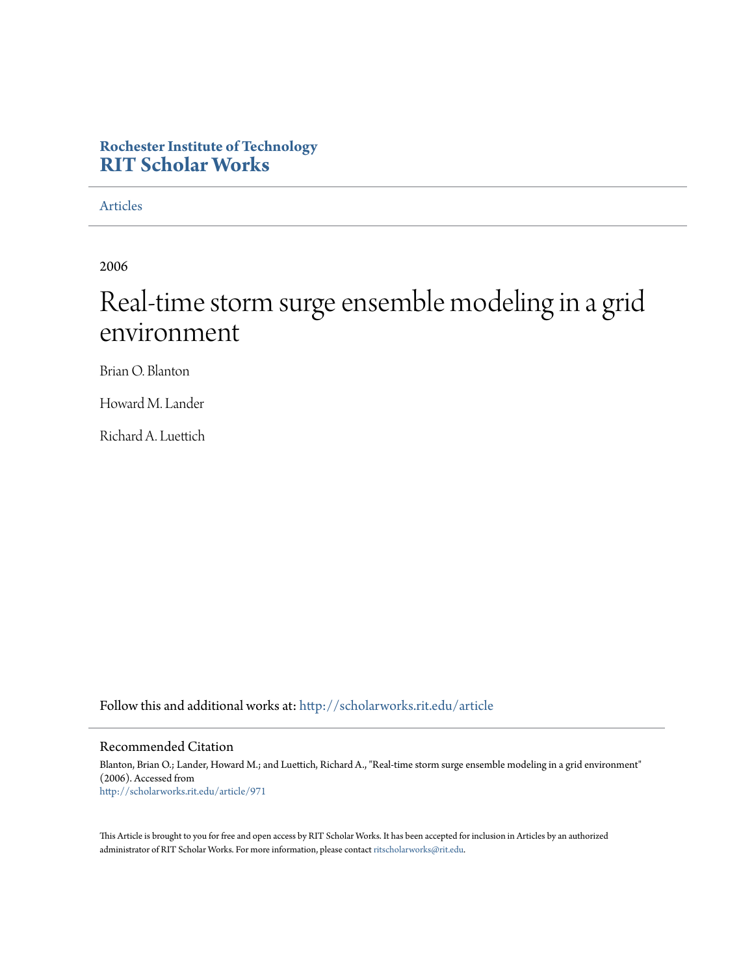# **Rochester Institute of Technology [RIT Scholar Works](http://scholarworks.rit.edu?utm_source=scholarworks.rit.edu%2Farticle%2F971&utm_medium=PDF&utm_campaign=PDFCoverPages)**

[Articles](http://scholarworks.rit.edu/article?utm_source=scholarworks.rit.edu%2Farticle%2F971&utm_medium=PDF&utm_campaign=PDFCoverPages)

2006

# Real-time storm surge ensemble modeling in a grid environment

Brian O. Blanton

Howard M. Lander

Richard A. Luettich

Follow this and additional works at: [http://scholarworks.rit.edu/article](http://scholarworks.rit.edu/article?utm_source=scholarworks.rit.edu%2Farticle%2F971&utm_medium=PDF&utm_campaign=PDFCoverPages)

# Recommended Citation

Blanton, Brian O.; Lander, Howard M.; and Luettich, Richard A., "Real-time storm surge ensemble modeling in a grid environment" (2006). Accessed from [http://scholarworks.rit.edu/article/971](http://scholarworks.rit.edu/article/971?utm_source=scholarworks.rit.edu%2Farticle%2F971&utm_medium=PDF&utm_campaign=PDFCoverPages)

This Article is brought to you for free and open access by RIT Scholar Works. It has been accepted for inclusion in Articles by an authorized administrator of RIT Scholar Works. For more information, please contact [ritscholarworks@rit.edu.](mailto:ritscholarworks@rit.edu)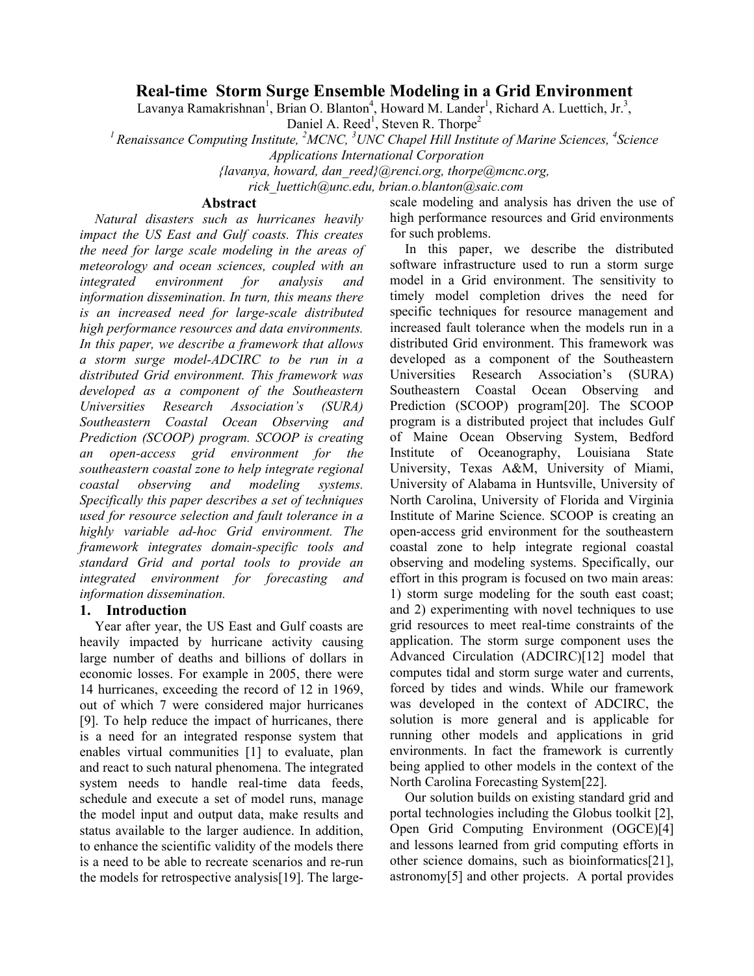# **Real-time Storm Surge Ensemble Modeling in a Grid Environment**

Lavanya Ramakrishnan<sup>1</sup>, Brian O. Blanton<sup>4</sup>, Howard M. Lander<sup>1</sup>, Richard A. Luettich, Jr.<sup>3</sup>,

Daniel A. Reed<sup>1</sup>, Steven R. Thorpe<sup>2</sup>

*<sup>1</sup> Renaissance Computing Institute, <sup>2</sup> MCNC, 3 UNC Chapel Hill Institute of Marine Sciences, <sup>4</sup> Science Applications International Corporation*

*{lavanya, howard, dan\_reed}@renci.org, thorpe@mcnc.org,*

*rick\_luettich@unc.edu, brian.o.blanton@saic.com*

## **Abstract**

*Natural disasters such as hurricanes heavily impact the US East and Gulf coasts. This creates the need for large scale modeling in the areas of meteorology and ocean sciences, coupled with an integrated environment for analysis and information dissemination. In turn, this means there is an increased need for large-scale distributed high performance resources and data environments. In this paper, we describe a framework that allows a storm surge model-ADCIRC to be run in a distributed Grid environment. This framework was developed as a component of the Southeastern Universities Research Association's (SURA) Southeastern Coastal Ocean Observing and Prediction (SCOOP) program. SCOOP is creating an open-access grid environment for the southeastern coastal zone to help integrate regional coastal observing and modeling systems. Specifically this paper describes a set of techniques used for resource selection and fault tolerance in a highly variable ad-hoc Grid environment. The framework integrates domain-specific tools and standard Grid and portal tools to provide an integrated environment for forecasting and information dissemination.*

# **1. Introduction**

Year after year, the US East and Gulf coasts are heavily impacted by hurricane activity causing large number of deaths and billions of dollars in economic losses. For example in 2005, there were 14 hurricanes, exceeding the record of 12 in 1969, out of which 7 were considered major hurricanes [9]. To help reduce the impact of hurricanes, there is a need for an integrated response system that enables virtual communities [1] to evaluate, plan and react to such natural phenomena. The integrated system needs to handle real-time data feeds, schedule and execute a set of model runs, manage the model input and output data, make results and status available to the larger audience. In addition, to enhance the scientific validity of the models there is a need to be able to recreate scenarios and re-run the models for retrospective analysis[19]. The largescale modeling and analysis has driven the use of high performance resources and Grid environments for such problems.

In this paper, we describe the distributed software infrastructure used to run a storm surge model in a Grid environment. The sensitivity to timely model completion drives the need for specific techniques for resource management and increased fault tolerance when the models run in a distributed Grid environment. This framework was developed as a component of the Southeastern Universities Research Association's (SURA) Southeastern Coastal Ocean Observing and Prediction (SCOOP) program[20]. The SCOOP program is a distributed project that includes Gulf of Maine Ocean Observing System, Bedford Institute of Oceanography, Louisiana State University, Texas A&M, University of Miami, University of Alabama in Huntsville, University of North Carolina, University of Florida and Virginia Institute of Marine Science. SCOOP is creating an open-access grid environment for the southeastern coastal zone to help integrate regional coastal observing and modeling systems. Specifically, our effort in this program is focused on two main areas: 1) storm surge modeling for the south east coast; and 2) experimenting with novel techniques to use grid resources to meet real-time constraints of the application. The storm surge component uses the Advanced Circulation (ADCIRC)[12] model that computes tidal and storm surge water and currents, forced by tides and winds. While our framework was developed in the context of ADCIRC, the solution is more general and is applicable for running other models and applications in grid environments. In fact the framework is currently being applied to other models in the context of the North Carolina Forecasting System[22].

Our solution builds on existing standard grid and portal technologies including the Globus toolkit [2], Open Grid Computing Environment (OGCE)[4] and lessons learned from grid computing efforts in other science domains, such as bioinformatics[21], astronomy[5] and other projects. A portal provides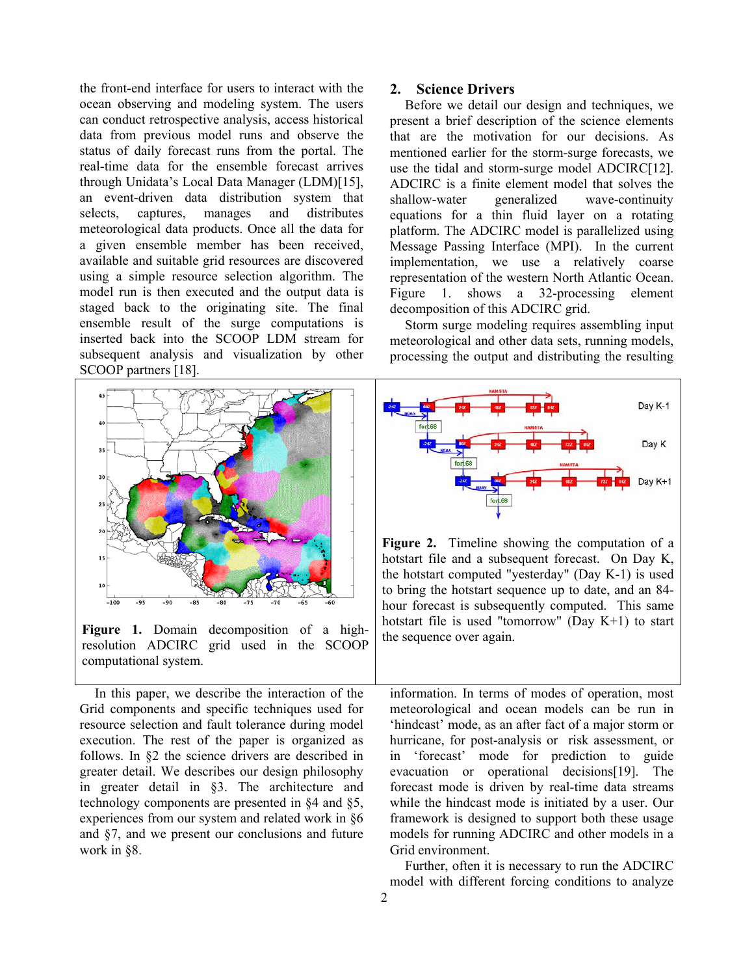the front-end interface for users to interact with the ocean observing and modeling system. The users can conduct retrospective analysis, access historical data from previous model runs and observe the status of daily forecast runs from the portal. The real-time data for the ensemble forecast arrives through Unidata's Local Data Manager (LDM)[15], an event-driven data distribution system that selects, captures, manages and distributes meteorological data products. Once all the data for a given ensemble member has been received, available and suitable grid resources are discovered using a simple resource selection algorithm. The model run is then executed and the output data is staged back to the originating site. The final ensemble result of the surge computations is inserted back into the SCOOP LDM stream for subsequent analysis and visualization by other SCOOP partners [18].



**Figure 1.** Domain decomposition of a highresolution ADCIRC grid used in the SCOOP computational system.

In this paper, we describe the interaction of the Grid components and specific techniques used for resource selection and fault tolerance during model execution. The rest of the paper is organized as follows. In §2 the science drivers are described in greater detail. We describes our design philosophy in greater detail in §3. The architecture and technology components are presented in §4 and §5, experiences from our system and related work in §6 and §7, and we present our conclusions and future work in §8.

#### **2. Science Drivers**

Before we detail our design and techniques, we present a brief description of the science elements that are the motivation for our decisions. As mentioned earlier for the storm-surge forecasts, we use the tidal and storm-surge model ADCIRC[12]. ADCIRC is a finite element model that solves the shallow-water generalized wave-continuity equations for a thin fluid layer on a rotating platform. The ADCIRC model is parallelized using Message Passing Interface (MPI). In the current implementation, we use a relatively coarse representation of the western North Atlantic Ocean. Figure 1. shows a 32-processing element decomposition of this ADCIRC grid.

Storm surge modeling requires assembling input meteorological and other data sets, running models, processing the output and distributing the resulting



**Figure 2.** Timeline showing the computation of a hotstart file and a subsequent forecast. On Day K, the hotstart computed "yesterday" (Day K-1) is used to bring the hotstart sequence up to date, and an 84 hour forecast is subsequently computed. This same hotstart file is used "tomorrow" (Day K+1) to start the sequence over again.

information. In terms of modes of operation, most meteorological and ocean models can be run in 'hindcast' mode, as an after fact of a major storm or hurricane, for post-analysis or risk assessment, or in 'forecast' mode for prediction to guide evacuation or operational decisions[19]. The forecast mode is driven by real-time data streams while the hindcast mode is initiated by a user. Our framework is designed to support both these usage models for running ADCIRC and other models in a Grid environment.

Further, often it is necessary to run the ADCIRC model with different forcing conditions to analyze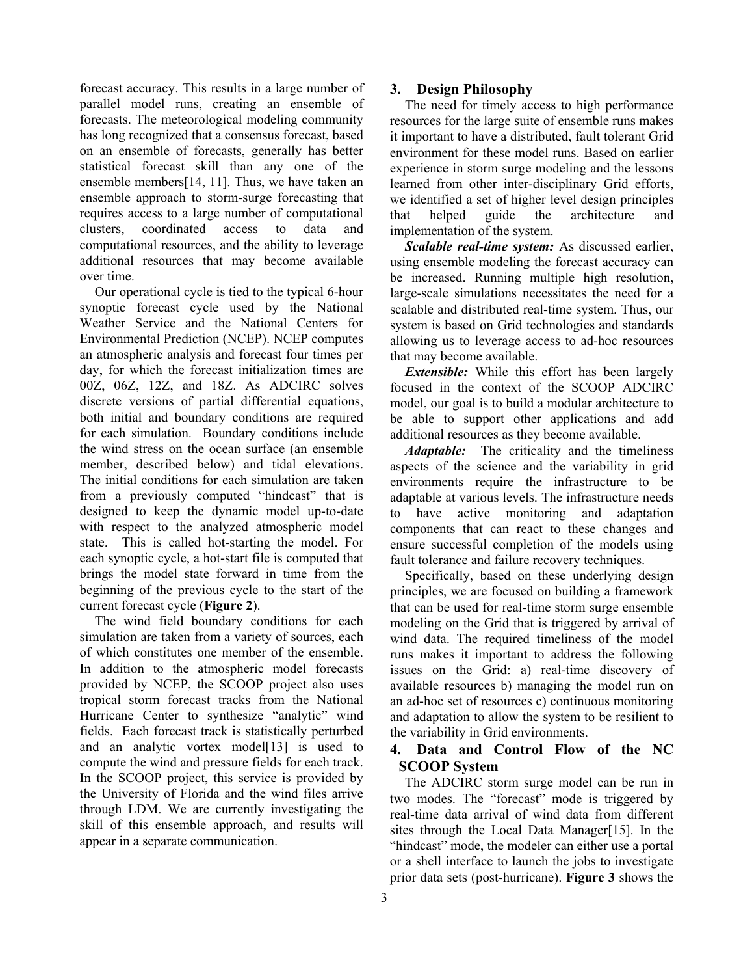forecast accuracy. This results in a large number of parallel model runs, creating an ensemble of forecasts. The meteorological modeling community has long recognized that a consensus forecast, based on an ensemble of forecasts, generally has better statistical forecast skill than any one of the ensemble members[14, 11]. Thus, we have taken an ensemble approach to storm-surge forecasting that requires access to a large number of computational clusters, coordinated access to data and computational resources, and the ability to leverage additional resources that may become available over time.

Our operational cycle is tied to the typical 6-hour synoptic forecast cycle used by the National Weather Service and the National Centers for Environmental Prediction (NCEP). NCEP computes an atmospheric analysis and forecast four times per day, for which the forecast initialization times are 00Z, 06Z, 12Z, and 18Z. As ADCIRC solves discrete versions of partial differential equations, both initial and boundary conditions are required for each simulation. Boundary conditions include the wind stress on the ocean surface (an ensemble member, described below) and tidal elevations. The initial conditions for each simulation are taken from a previously computed "hindcast" that is designed to keep the dynamic model up-to-date with respect to the analyzed atmospheric model state. This is called hot-starting the model. For each synoptic cycle, a hot-start file is computed that brings the model state forward in time from the beginning of the previous cycle to the start of the current forecast cycle (**Figure 2**).

The wind field boundary conditions for each simulation are taken from a variety of sources, each of which constitutes one member of the ensemble. In addition to the atmospheric model forecasts provided by NCEP, the SCOOP project also uses tropical storm forecast tracks from the National Hurricane Center to synthesize "analytic" wind fields. Each forecast track is statistically perturbed and an analytic vortex model[13] is used to compute the wind and pressure fields for each track. In the SCOOP project, this service is provided by the University of Florida and the wind files arrive through LDM. We are currently investigating the skill of this ensemble approach, and results will appear in a separate communication.

# **3. Design Philosophy**

The need for timely access to high performance resources for the large suite of ensemble runs makes it important to have a distributed, fault tolerant Grid environment for these model runs. Based on earlier experience in storm surge modeling and the lessons learned from other inter-disciplinary Grid efforts, we identified a set of higher level design principles that helped guide the architecture and implementation of the system.

*Scalable real-time system:* As discussed earlier, using ensemble modeling the forecast accuracy can be increased. Running multiple high resolution, large-scale simulations necessitates the need for a scalable and distributed real-time system. Thus, our system is based on Grid technologies and standards allowing us to leverage access to ad-hoc resources that may become available.

*Extensible:* While this effort has been largely focused in the context of the SCOOP ADCIRC model, our goal is to build a modular architecture to be able to support other applications and add additional resources as they become available.

*Adaptable:* The criticality and the timeliness aspects of the science and the variability in grid environments require the infrastructure to be adaptable at various levels. The infrastructure needs to have active monitoring and adaptation components that can react to these changes and ensure successful completion of the models using fault tolerance and failure recovery techniques.

Specifically, based on these underlying design principles, we are focused on building a framework that can be used for real-time storm surge ensemble modeling on the Grid that is triggered by arrival of wind data. The required timeliness of the model runs makes it important to address the following issues on the Grid: a) real-time discovery of available resources b) managing the model run on an ad-hoc set of resources c) continuous monitoring and adaptation to allow the system to be resilient to the variability in Grid environments.

# **4. Data and Control Flow of the NC SCOOP System**

The ADCIRC storm surge model can be run in two modes. The "forecast" mode is triggered by real-time data arrival of wind data from different sites through the Local Data Manager[15]. In the "hindcast" mode, the modeler can either use a portal or a shell interface to launch the jobs to investigate prior data sets (post-hurricane). **Figure 3** shows the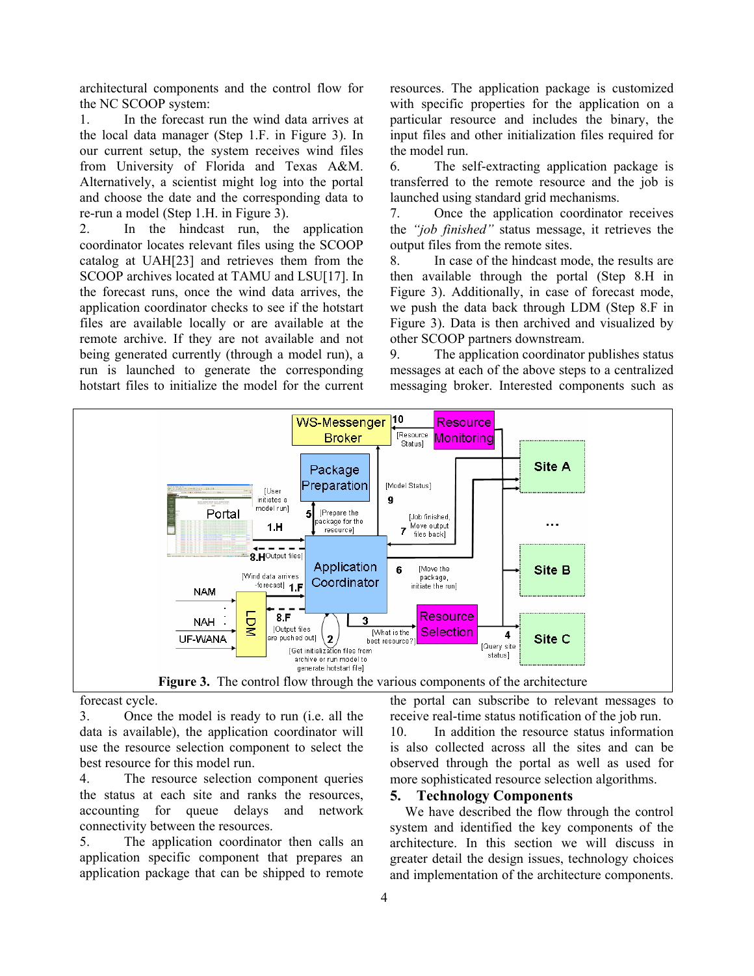architectural components and the control flow for the NC SCOOP system:

1. In the forecast run the wind data arrives at the local data manager (Step 1.F. in Figure 3). In our current setup, the system receives wind files from University of Florida and Texas A&M. Alternatively, a scientist might log into the portal and choose the date and the corresponding data to re-run a model (Step 1.H. in Figure 3).

2. In the hindcast run, the application coordinator locates relevant files using the SCOOP catalog at UAH[23] and retrieves them from the SCOOP archives located at TAMU and LSU[17]. In the forecast runs, once the wind data arrives, the application coordinator checks to see if the hotstart files are available locally or are available at the remote archive. If they are not available and not being generated currently (through a model run), a run is launched to generate the corresponding hotstart files to initialize the model for the current resources. The application package is customized with specific properties for the application on a particular resource and includes the binary, the input files and other initialization files required for the model run.

6. The self-extracting application package is transferred to the remote resource and the job is launched using standard grid mechanisms.

7. Once the application coordinator receives the *"job finished"* status message, it retrieves the output files from the remote sites.

8. In case of the hindcast mode, the results are then available through the portal (Step 8.H in Figure 3). Additionally, in case of forecast mode, we push the data back through LDM (Step 8.F in Figure 3). Data is then archived and visualized by other SCOOP partners downstream.

9. The application coordinator publishes status messages at each of the above steps to a centralized messaging broker. Interested components such as



forecast cycle.

3. Once the model is ready to run (i.e. all the data is available), the application coordinator will use the resource selection component to select the best resource for this model run.

4. The resource selection component queries the status at each site and ranks the resources, accounting for queue delays and network connectivity between the resources.

5. The application coordinator then calls an application specific component that prepares an application package that can be shipped to remote

the portal can subscribe to relevant messages to receive real-time status notification of the job run.

10. In addition the resource status information is also collected across all the sites and can be observed through the portal as well as used for more sophisticated resource selection algorithms.

# **5. Technology Components**

We have described the flow through the control system and identified the key components of the architecture. In this section we will discuss in greater detail the design issues, technology choices and implementation of the architecture components.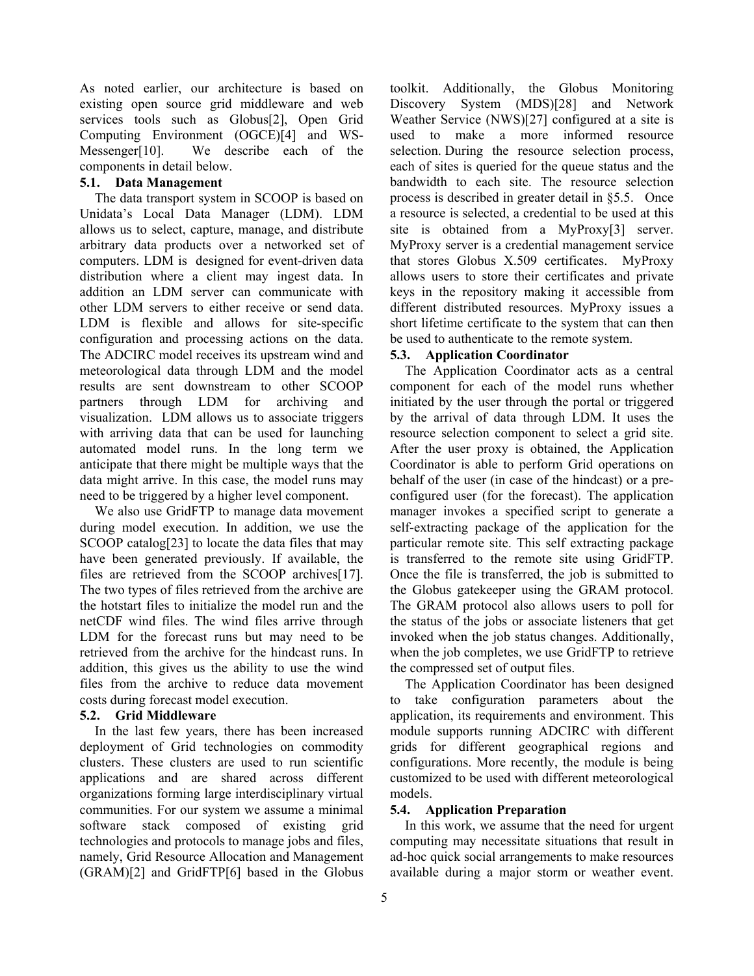As noted earlier, our architecture is based on existing open source grid middleware and web services tools such as Globus[2], Open Grid Computing Environment (OGCE)[4] and WS-Messenger[10]. We describe each of the components in detail below.

#### **5.1. Data Management**

The data transport system in SCOOP is based on Unidata's Local Data Manager (LDM). LDM allows us to select, capture, manage, and distribute arbitrary data products over a networked set of computers. LDM is designed for event-driven data distribution where a client may ingest data. In addition an LDM server can communicate with other LDM servers to either receive or send data. LDM is flexible and allows for site-specific configuration and processing actions on the data. The ADCIRC model receives its upstream wind and meteorological data through LDM and the model results are sent downstream to other SCOOP partners through LDM for archiving and visualization. LDM allows us to associate triggers with arriving data that can be used for launching automated model runs. In the long term we anticipate that there might be multiple ways that the data might arrive. In this case, the model runs may need to be triggered by a higher level component.

We also use GridFTP to manage data movement during model execution. In addition, we use the SCOOP catalog[23] to locate the data files that may have been generated previously. If available, the files are retrieved from the SCOOP archives[17]. The two types of files retrieved from the archive are the hotstart files to initialize the model run and the netCDF wind files. The wind files arrive through LDM for the forecast runs but may need to be retrieved from the archive for the hindcast runs. In addition, this gives us the ability to use the wind files from the archive to reduce data movement costs during forecast model execution.

#### **5.2. Grid Middleware**

In the last few years, there has been increased deployment of Grid technologies on commodity clusters. These clusters are used to run scientific applications and are shared across different organizations forming large interdisciplinary virtual communities. For our system we assume a minimal software stack composed of existing grid technologies and protocols to manage jobs and files, namely, Grid Resource Allocation and Management (GRAM)[2] and GridFTP[6] based in the Globus

toolkit. Additionally, the Globus Monitoring Discovery System (MDS)[28] and Network Weather Service (NWS)[27] configured at a site is used to make a more informed resource selection. During the resource selection process, each of sites is queried for the queue status and the bandwidth to each site. The resource selection process is described in greater detail in §5.5. Once a resource is selected, a credential to be used at this site is obtained from a MyProxy[3] server. MyProxy server is a credential management service that stores Globus X.509 certificates. MyProxy allows users to store their certificates and private keys in the repository making it accessible from different distributed resources. MyProxy issues a short lifetime certificate to the system that can then be used to authenticate to the remote system.

#### **5.3. Application Coordinator**

The Application Coordinator acts as a central component for each of the model runs whether initiated by the user through the portal or triggered by the arrival of data through LDM. It uses the resource selection component to select a grid site. After the user proxy is obtained, the Application Coordinator is able to perform Grid operations on behalf of the user (in case of the hindcast) or a preconfigured user (for the forecast). The application manager invokes a specified script to generate a self-extracting package of the application for the particular remote site. This self extracting package is transferred to the remote site using GridFTP. Once the file is transferred, the job is submitted to the Globus gatekeeper using the GRAM protocol. The GRAM protocol also allows users to poll for the status of the jobs or associate listeners that get invoked when the job status changes. Additionally, when the job completes, we use GridFTP to retrieve the compressed set of output files.

The Application Coordinator has been designed to take configuration parameters about the application, its requirements and environment. This module supports running ADCIRC with different grids for different geographical regions and configurations. More recently, the module is being customized to be used with different meteorological models.

# **5.4. Application Preparation**

In this work, we assume that the need for urgent computing may necessitate situations that result in ad-hoc quick social arrangements to make resources available during a major storm or weather event.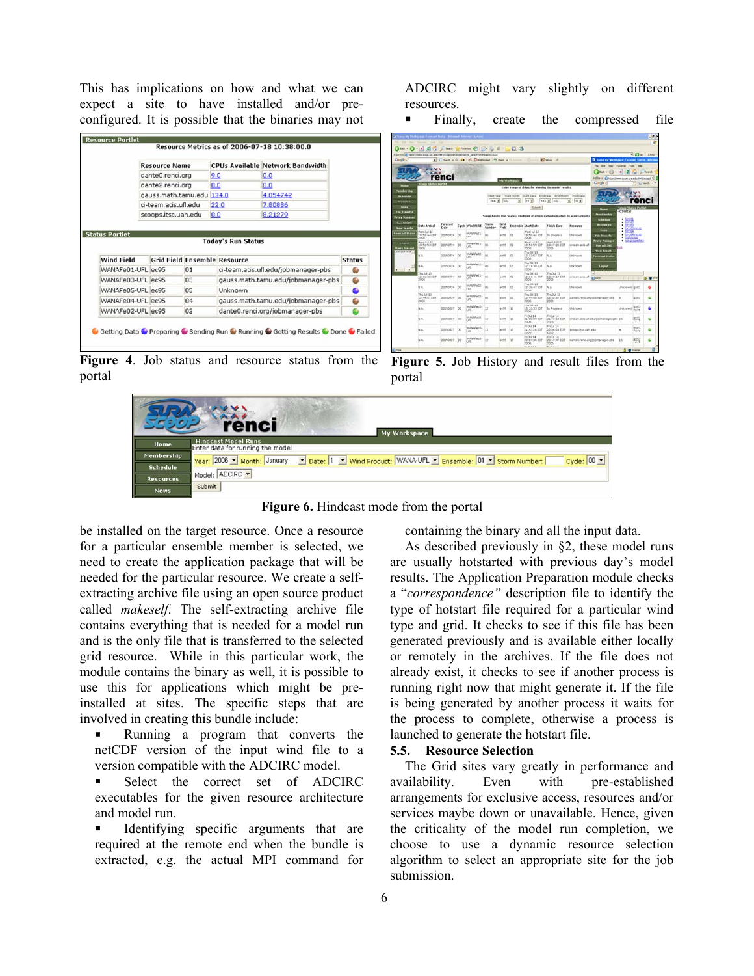This has implications on how and what we can expect a site to have installed and/or preconfigured. It is possible that the binaries may not

|                                            | <b>Resource Name</b>      |             |                                     | <b>CPUs Available Network Bandwidth</b> |                    |
|--------------------------------------------|---------------------------|-------------|-------------------------------------|-----------------------------------------|--------------------|
|                                            | dante0.renci.org          |             | 9.0                                 | 0.0                                     |                    |
|                                            | dante2.renci.org          |             | 0.0                                 | 0.0                                     |                    |
|                                            | gauss.math.tamu.edu 134.0 |             |                                     | 4.054742                                |                    |
|                                            | ube flu.zios.unset-in     |             | 22.0                                | 7.80886                                 |                    |
|                                            |                           |             |                                     |                                         |                    |
| <b>Status Portlet</b><br><b>Wind Field</b> | scoops.itsc.uah.edu       |             | 0.0<br><b>Today's Run Status</b>    | 8.21279                                 |                    |
|                                            |                           |             | <b>Grid Field Ensemble Resource</b> |                                         |                    |
| WANAFe01-UFL ec95                          |                           | 01          |                                     | ci-team.acis.ufl.edu/jobmanager-pbs     |                    |
| WANAFe03-UFL ec95                          |                           | 03          |                                     | gauss.math.tamu.edu/jobmanager-pbs      | ۵                  |
| WANAFe05-UFL ec95                          |                           | 05          | Unknown                             |                                         | ٠                  |
| WANAFe04-UFL ec95                          |                           | $\bigcap$ 4 |                                     | gauss.math.tamu.edu/jobmanager-pbs      | <b>Status</b><br>۵ |

**Figure 4**. Job status and resource status from the portal

ADCIRC might vary slightly on different resources.

! Finally, create the compressed file

|                                     |                          |            | Address (a) helps (here also uncusto the lining portal statues)s panel FISHbach (222) |                                               |                         |                      | . Clean + 0 10 15 Detroited 7 One + Course - County Publisher 2 |                                                                       |                                                                                  | <b>Ca Scoop My Workspace: Forecast Status - Microso</b> |                                                   | $+224$ $+1342$             |
|-------------------------------------|--------------------------|------------|---------------------------------------------------------------------------------------|-----------------------------------------------|-------------------------|----------------------|-----------------------------------------------------------------|-----------------------------------------------------------------------|----------------------------------------------------------------------------------|---------------------------------------------------------|---------------------------------------------------|----------------------------|
|                                     |                          |            |                                                                                       |                                               |                         |                      |                                                                 |                                                                       |                                                                                  | Fig. 2.00 their Faceton Tuck                            |                                                   |                            |
|                                     |                          |            |                                                                                       |                                               |                         |                      |                                                                 |                                                                       |                                                                                  | Catak v                                                 | ×                                                 |                            |
|                                     | renci                    |            |                                                                                       |                                               |                         | <b>No Workington</b> |                                                                 |                                                                       |                                                                                  | Address (a) type (lower prop unt adult=Clerical *)      |                                                   |                            |
| <b>Status Ports</b>                 |                          |            |                                                                                       |                                               |                         |                      |                                                                 | Eater range of datas for alessing the model results.                  |                                                                                  | Catogle +1                                              |                                                   | $+$ $\sqrt{2}$ leads $+$ F |
|                                     |                          |            |                                                                                       |                                               |                         |                      |                                                                 | lited Year, fited Month, filted Date, Rod Year, Brid Month, Brid Date |                                                                                  |                                                         |                                                   |                            |
|                                     |                          |            |                                                                                       |                                               | $2006 + 144$            | ◾                    | $11 -$                                                          | 2006 will like                                                        | $18 -$<br>$\blacksquare$                                                         |                                                         | renci                                             |                            |
|                                     |                          |            |                                                                                       |                                               |                         |                      | <b>Exkent</b>                                                   |                                                                       |                                                                                  |                                                         | <b>Schop Mates Punt</b><br>Results:               |                            |
|                                     |                          |            |                                                                                       |                                               |                         |                      |                                                                 |                                                                       | Score Addres Run Status; Click red or areas status indicators to access results. | <b>Hemilership</b><br><b>Schools</b>                    | $+$ head                                          |                            |
| <b>Data Arrival</b>                 | <b>Forecast</b><br>Date  |            | Cycle Wind Field                                                                      | <b><i><u><i>Shares</i></u></i></b><br>hismber | <b>Carlott</b><br>Field |                      | Entendile Start Date                                            | <b>Fisich Date</b>                                                    | Researce                                                                         | Rossorces                                               | $-$ <i>lates</i><br>$+$ $+$ $+$<br>$-50163$ route |                            |
| West Jul 12<br>10:53:44 607<br>2006 | 20050724                 |            | HANNAHI.<br>i.m.                                                                      |                                               | ect6                    | <b>IDS</b>           | wed lul 13<br>18.50 44 EDT<br>2006                              | 34 progress                                                           | LNAVIGNA                                                                         | <b>Service</b><br><b>Tife Thansfer</b>                  | $+ 1.754$<br>$+$ fut several<br>$-$ matrices      |                            |
| Wed 34 12<br>19:51:53 8DT<br>2006   | 20050724                 | $\sim$     | margial ed Lo<br>w                                                                    | ×                                             | ecid                    | <b>HOLE</b>          | Wed 3d 12<br>18.51.59 EDT<br>2006                               | Weed 3.4 12<br>19:07:23 601<br>2004.                                  | <b>Business reason</b>                                                           | <b>Presid Photogen</b><br><b>Bus Add Set</b>            | · he importer<br><b>Data</b>                      |                            |
| NA                                  | 20050724                 | <b>OD</b>  | HANNAFWOO-<br>Lat.                                                                    |                                               | ecid.                   | ko                   | Thu lid 11<br>L2: 13:57 EDT<br>Interior                         | N.A.                                                                  | Linkscopt                                                                        | View Results<br>Farmcast Vitalu                         |                                                   |                            |
| N.A.                                | US050T24                 | <b>DO</b>  | housepoint witch<br>i.e.                                                              |                                               | actri                   | <b>kg</b>            | Thu 3d 13<br>12:14:38.837<br>DODG                               | N.A.                                                                  | Linkfieland                                                                      | Lageat                                                  |                                                   |                            |
| Thu 3ul 13<br>12:11:30 EDT<br>1006  | 20090724                 | <b>IDD</b> | introduct).<br>US.                                                                    |                                               | work.                   | ios                  | Thu 3.4 1.3<br>12: 11:46 EDT<br>2006                            | Thu 34 13<br>12:27:17.607<br>2006                                     | in bran and ut                                                                   | $\bullet$<br>$E$ ) boos                                 |                                                   |                            |
| N.A.                                | 20090724                 | <b>You</b> | HARVATHEZ-<br>i.m.                                                                    |                                               | ecifi                   | <b>ISS</b>           | Thu Jul 13<br>12:39:47 EDT<br>2006                              | N.A.                                                                  | <b>T.Mikmolent</b>                                                               |                                                         | Unknown (gard)                                    |                            |
| Thu 3.4 1.3<br>12144/81-007<br>2006 | 20050724                 | <b>DO</b>  | HANNA WITZ-<br>UE.                                                                    | <b>The</b>                                    | $-0.05$                 | <b>Incl.</b>         | Thu 3x 13<br>12:44.58.027<br><b>Sidde</b>                       | Thu 3.4 1.5<br>12:52:57.607<br><b>SOM</b>                             |                                                                                  | dantell/ensionalcomanager-abs                           |                                                   |                            |
| h.a.                                | 20050827                 | 100        | Instalated actors<br>US.                                                              | u                                             | a-on                    | $-10$                | The 3d 12<br>13 10:33 807<br>2006                               | In Progress                                                           | Univouri                                                                         |                                                         | Linkngwer                                         |                            |
| N.A.                                | 20050627                 | ×          | Hiddeld's SS-<br>UR.                                                                  | 'n                                            | arch.                   | <b>Issue</b>         | Fri 3.4 14<br>21:05:09 807<br>2006                              | Fo 3.4 14<br>21:43:18.807<br>2006                                     |                                                                                  | in team any ut educationaryger gits 16                  |                                                   |                            |
|                                     | <b>International Pro</b> | <b>CE</b>  | HANNA VSS-<br>LEL.                                                                    | zz                                            | act/5                   | 33                   | Pt: 3.2 14<br>21:43:26.007<br>2006                              | Pri 3.2 14<br>22/04/28 807<br>2006                                    | <b>Announce Medical Printing</b>                                                 |                                                         |                                                   |                            |
| N.A.                                |                          |            |                                                                                       |                                               |                         |                      | Fr: 3.6 14                                                      | <b>West Suit Lie</b>                                                  |                                                                                  |                                                         |                                                   |                            |

**Figure 5.** Job History and result files from the portal



**Figure 6.** Hindcast mode from the portal

be installed on the target resource. Once a resource for a particular ensemble member is selected, we need to create the application package that will be needed for the particular resource. We create a selfextracting archive file using an open source product called *makeself*. The self-extracting archive file contains everything that is needed for a model run and is the only file that is transferred to the selected grid resource. While in this particular work, the module contains the binary as well, it is possible to use this for applications which might be preinstalled at sites. The specific steps that are involved in creating this bundle include:

**EXECUTE:** Running a program that converts the netCDF version of the input wind file to a version compatible with the ADCIRC model.

Select the correct set of ADCIRC executables for the given resource architecture and model run.

Identifying specific arguments that are required at the remote end when the bundle is extracted, e.g. the actual MPI command for

containing the binary and all the input data.

As described previously in §2, these model runs are usually hotstarted with previous day's model results. The Application Preparation module checks a "*correspondence"* description file to identify the type of hotstart file required for a particular wind type and grid. It checks to see if this file has been generated previously and is available either locally or remotely in the archives. If the file does not already exist, it checks to see if another process is running right now that might generate it. If the file is being generated by another process it waits for the process to complete, otherwise a process is launched to generate the hotstart file.

#### **5.5. Resource Selection**

The Grid sites vary greatly in performance and availability. Even with pre-established arrangements for exclusive access, resources and/or services maybe down or unavailable. Hence, given the criticality of the model run completion, we choose to use a dynamic resource selection algorithm to select an appropriate site for the job submission.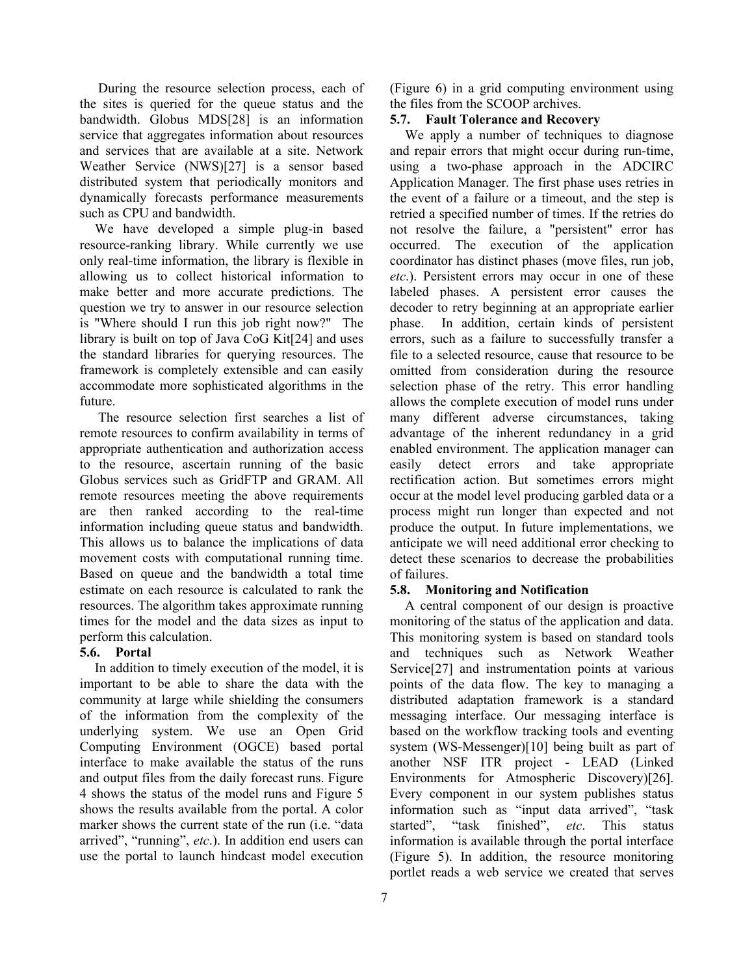During the resource selection process, each of the sites is queried for the queue status and the bandwidth. Globus MDS[28] is an information service that aggregates information about resources and services that are available at a site. Network Weather Service (NWS)[27] is a sensor based distributed system that periodically monitors and dynamically forecasts performance measurements such as CPU and bandwidth.

We have developed a simple plug-in based resource-ranking library. While currently we use only real-time information, the library is flexible in allowing us to collect historical information to make better and more accurate predictions. The question we try to answer in our resource selection is "Where should I run this job right now?" The library is built on top of Java CoG Kit[24] and uses the standard libraries for querying resources. The framework is completely extensible and can easily accommodate more sophisticated algorithms in the future.

The resource selection first searches a list of remote resources to confirm availability in terms of appropriate authentication and authorization access to the resource, ascertain running of the basic Globus services such as GridFTP and GRAM. All remote resources meeting the above requirements are then ranked according to the real-time information including queue status and bandwidth. This allows us to balance the implications of data movement costs with computational running time. Based on queue and the bandwidth a total time estimate on each resource is calculated to rank the resources. The algorithm takes approximate running times for the model and the data sizes as input to perform this calculation.

# **5.6. Portal**

In addition to timely execution of the model, it is important to be able to share the data with the community at large while shielding the consumers of the information from the complexity of the underlying system. We use an Open Grid Computing Environment (OGCE) based portal interface to make available the status of the runs and output files from the daily forecast runs. Figure 4 shows the status of the model runs and Figure 5 shows the results available from the portal. A color marker shows the current state of the run (i.e. "data arrived", "running", *etc*.). In addition end users can use the portal to launch hindcast model execution (Figure 6) in a grid computing environment using the files from the SCOOP archives.

# **5.7. Fault Tolerance and Recovery**

We apply a number of techniques to diagnose and repair errors that might occur during run-time, using a two-phase approach in the ADCIRC Application Manager. The first phase uses retries in the event of a failure or a timeout, and the step is retried a specified number of times. If the retries do not resolve the failure, a "persistent" error has occurred. The execution of the application coordinator has distinct phases (move files, run job, *etc*.). Persistent errors may occur in one of these labeled phases. A persistent error causes the decoder to retry beginning at an appropriate earlier phase. In addition, certain kinds of persistent errors, such as a failure to successfully transfer a file to a selected resource, cause that resource to be omitted from consideration during the resource selection phase of the retry. This error handling allows the complete execution of model runs under many different adverse circumstances, taking advantage of the inherent redundancy in a grid enabled environment. The application manager can easily detect errors and take appropriate rectification action. But sometimes errors might occur at the model level producing garbled data or a process might run longer than expected and not produce the output. In future implementations, we anticipate we will need additional error checking to detect these scenarios to decrease the probabilities of failures.

# **5.8. Monitoring and Notification**

A central component of our design is proactive monitoring of the status of the application and data. This monitoring system is based on standard tools and techniques such as Network Weather Service<sup>[27]</sup> and instrumentation points at various points of the data flow. The key to managing a distributed adaptation framework is a standard messaging interface. Our messaging interface is based on the workflow tracking tools and eventing system (WS-Messenger)[10] being built as part of another NSF ITR project - LEAD (Linked Environments for Atmospheric Discovery)[26]. Every component in our system publishes status information such as "input data arrived", "task started", "task finished", *etc*. This status information is available through the portal interface (Figure 5). In addition, the resource monitoring portlet reads a web service we created that serves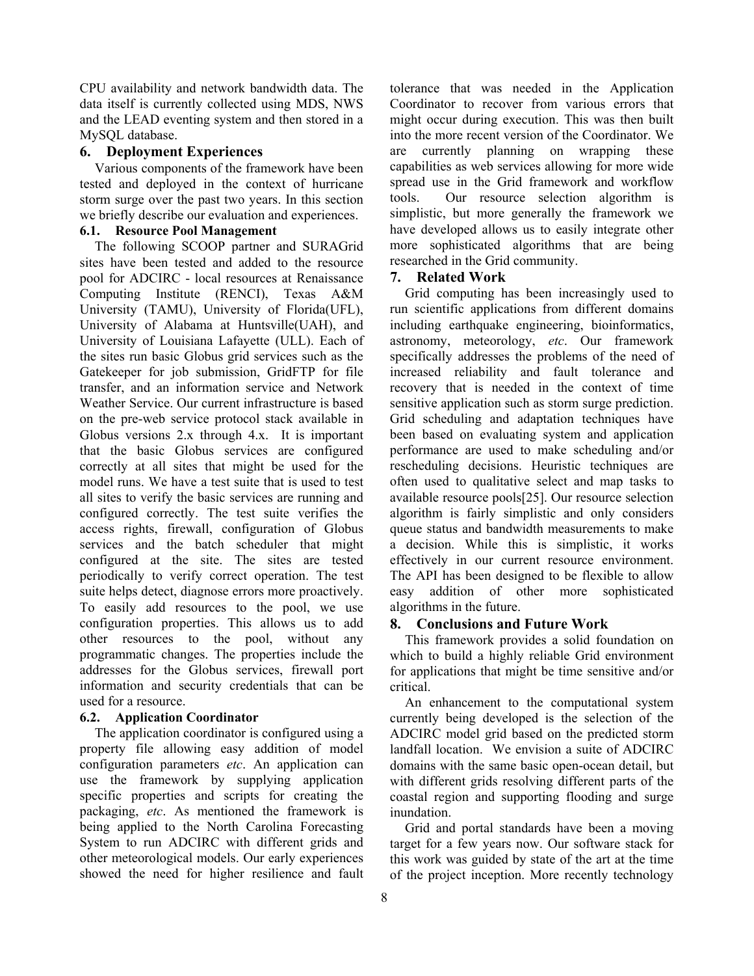CPU availability and network bandwidth data. The data itself is currently collected using MDS, NWS and the LEAD eventing system and then stored in a MySQL database.

#### **6. Deployment Experiences**

Various components of the framework have been tested and deployed in the context of hurricane storm surge over the past two years. In this section we briefly describe our evaluation and experiences.

#### **6.1. Resource Pool Management**

The following SCOOP partner and SURAGrid sites have been tested and added to the resource pool for ADCIRC - local resources at Renaissance Computing Institute (RENCI), Texas A&M University (TAMU), University of Florida(UFL), University of Alabama at Huntsville(UAH), and University of Louisiana Lafayette (ULL). Each of the sites run basic Globus grid services such as the Gatekeeper for job submission, GridFTP for file transfer, and an information service and Network Weather Service. Our current infrastructure is based on the pre-web service protocol stack available in Globus versions 2.x through 4.x. It is important that the basic Globus services are configured correctly at all sites that might be used for the model runs. We have a test suite that is used to test all sites to verify the basic services are running and configured correctly. The test suite verifies the access rights, firewall, configuration of Globus services and the batch scheduler that might configured at the site. The sites are tested periodically to verify correct operation. The test suite helps detect, diagnose errors more proactively. To easily add resources to the pool, we use configuration properties. This allows us to add other resources to the pool, without any programmatic changes. The properties include the addresses for the Globus services, firewall port information and security credentials that can be used for a resource.

#### **6.2. Application Coordinator**

The application coordinator is configured using a property file allowing easy addition of model configuration parameters *etc*. An application can use the framework by supplying application specific properties and scripts for creating the packaging, *etc*. As mentioned the framework is being applied to the North Carolina Forecasting System to run ADCIRC with different grids and other meteorological models. Our early experiences showed the need for higher resilience and fault

tolerance that was needed in the Application Coordinator to recover from various errors that might occur during execution. This was then built into the more recent version of the Coordinator. We are currently planning on wrapping these capabilities as web services allowing for more wide spread use in the Grid framework and workflow tools. Our resource selection algorithm is simplistic, but more generally the framework we have developed allows us to easily integrate other more sophisticated algorithms that are being researched in the Grid community.

### **7. Related Work**

Grid computing has been increasingly used to run scientific applications from different domains including earthquake engineering, bioinformatics, astronomy, meteorology, *etc*. Our framework specifically addresses the problems of the need of increased reliability and fault tolerance and recovery that is needed in the context of time sensitive application such as storm surge prediction. Grid scheduling and adaptation techniques have been based on evaluating system and application performance are used to make scheduling and/or rescheduling decisions. Heuristic techniques are often used to qualitative select and map tasks to available resource pools[25]. Our resource selection algorithm is fairly simplistic and only considers queue status and bandwidth measurements to make a decision. While this is simplistic, it works effectively in our current resource environment. The API has been designed to be flexible to allow easy addition of other more sophisticated algorithms in the future.

#### **8. Conclusions and Future Work**

This framework provides a solid foundation on which to build a highly reliable Grid environment for applications that might be time sensitive and/or critical.

An enhancement to the computational system currently being developed is the selection of the ADCIRC model grid based on the predicted storm landfall location. We envision a suite of ADCIRC domains with the same basic open-ocean detail, but with different grids resolving different parts of the coastal region and supporting flooding and surge inundation.

Grid and portal standards have been a moving target for a few years now. Our software stack for this work was guided by state of the art at the time of the project inception. More recently technology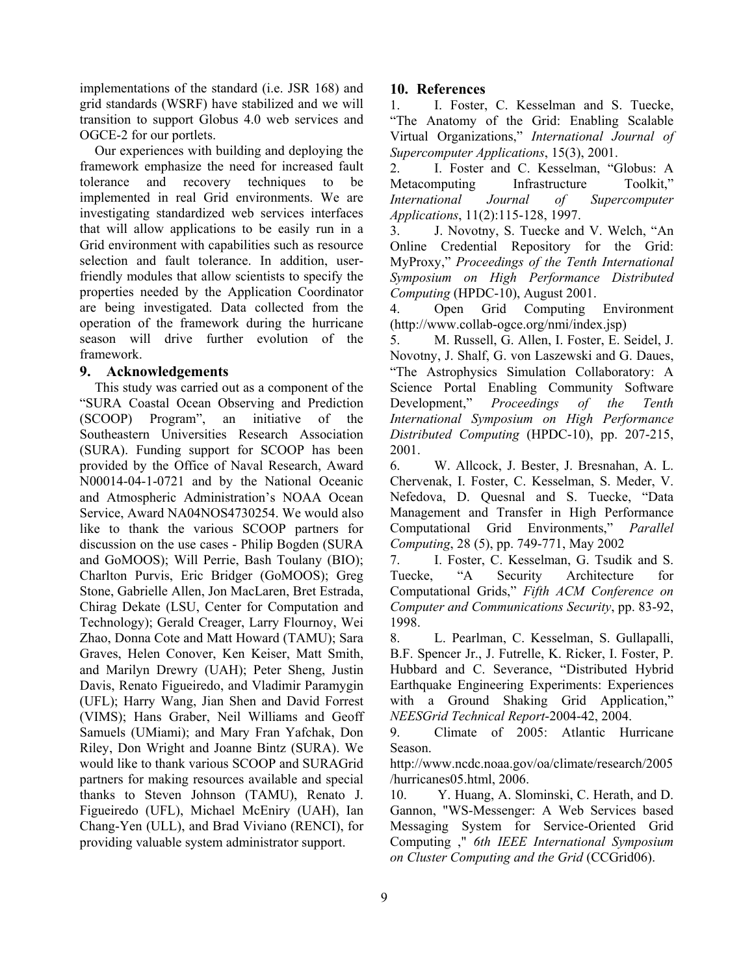implementations of the standard (i.e. JSR 168) and grid standards (WSRF) have stabilized and we will transition to support Globus 4.0 web services and OGCE-2 for our portlets.

Our experiences with building and deploying the framework emphasize the need for increased fault tolerance and recovery techniques to be implemented in real Grid environments. We are investigating standardized web services interfaces that will allow applications to be easily run in a Grid environment with capabilities such as resource selection and fault tolerance. In addition, userfriendly modules that allow scientists to specify the properties needed by the Application Coordinator are being investigated. Data collected from the operation of the framework during the hurricane season will drive further evolution of the framework.

#### **9. Acknowledgements**

This study was carried out as a component of the "SURA Coastal Ocean Observing and Prediction (SCOOP) Program", an initiative of the Southeastern Universities Research Association (SURA). Funding support for SCOOP has been provided by the Office of Naval Research, Award N00014-04-1-0721 and by the National Oceanic and Atmospheric Administration's NOAA Ocean Service, Award NA04NOS4730254. We would also like to thank the various SCOOP partners for discussion on the use cases - Philip Bogden (SURA and GoMOOS); Will Perrie, Bash Toulany (BIO); Charlton Purvis, Eric Bridger (GoMOOS); Greg Stone, Gabrielle Allen, Jon MacLaren, Bret Estrada, Chirag Dekate (LSU, Center for Computation and Technology); Gerald Creager, Larry Flournoy, Wei Zhao, Donna Cote and Matt Howard (TAMU); Sara Graves, Helen Conover, Ken Keiser, Matt Smith, and Marilyn Drewry (UAH); Peter Sheng, Justin Davis, Renato Figueiredo, and Vladimir Paramygin (UFL); Harry Wang, Jian Shen and David Forrest (VIMS); Hans Graber, Neil Williams and Geoff Samuels (UMiami); and Mary Fran Yafchak, Don Riley, Don Wright and Joanne Bintz (SURA). We would like to thank various SCOOP and SURAGrid partners for making resources available and special thanks to Steven Johnson (TAMU), Renato J. Figueiredo (UFL), Michael McEniry (UAH), Ian Chang-Yen (ULL), and Brad Viviano (RENCI), for providing valuable system administrator support.

# **10. References**

1. I. Foster, C. Kesselman and S. Tuecke, "The Anatomy of the Grid: Enabling Scalable Virtual Organizations," *International Journal of Supercomputer Applications*, 15(3), 2001.

2. I. Foster and C. Kesselman, "Globus: A Metacomputing Infrastructure Toolkit," *International Journal of Supercomputer Applications*, 11(2):115-128, 1997.

3. J. Novotny, S. Tuecke and V. Welch, "An Online Credential Repository for the Grid: MyProxy," *Proceedings of the Tenth International Symposium on High Performance Distributed Computing* (HPDC-10), August 2001.

4. Open Grid Computing Environment (http://www.collab-ogce.org/nmi/index.jsp)

5. M. Russell, G. Allen, I. Foster, E. Seidel, J. Novotny, J. Shalf, G. von Laszewski and G. Daues, "The Astrophysics Simulation Collaboratory: A Science Portal Enabling Community Software Development," *Proceedings of the Tenth International Symposium on High Performance Distributed Computing* (HPDC-10), pp. 207-215, 2001.

6. W. Allcock, J. Bester, J. Bresnahan, A. L. Chervenak, I. Foster, C. Kesselman, S. Meder, V. Nefedova, D. Quesnal and S. Tuecke, "Data Management and Transfer in High Performance Computational Grid Environments," *Parallel Computing*, 28 (5), pp. 749-771, May 2002

7. I. Foster, C. Kesselman, G. Tsudik and S. Tuecke, "A Security Architecture for Computational Grids," *Fifth ACM Conference on Computer and Communications Security*, pp. 83-92, 1998.

8. L. Pearlman, C. Kesselman, S. Gullapalli, B.F. Spencer Jr., J. Futrelle, K. Ricker, I. Foster, P. Hubbard and C. Severance, "Distributed Hybrid Earthquake Engineering Experiments: Experiences with a Ground Shaking Grid Application," *NEESGrid Technical Report*-2004-42, 2004.

9. Climate of 2005: Atlantic Hurricane Season.

http://www.ncdc.noaa.gov/oa/climate/research/2005 /hurricanes05.html, 2006.

10. Y. Huang, A. Slominski, C. Herath, and D. Gannon, "WS-Messenger: A Web Services based Messaging System for Service-Oriented Grid Computing ," *6th IEEE International Symposium on Cluster Computing and the Grid* (CCGrid06).